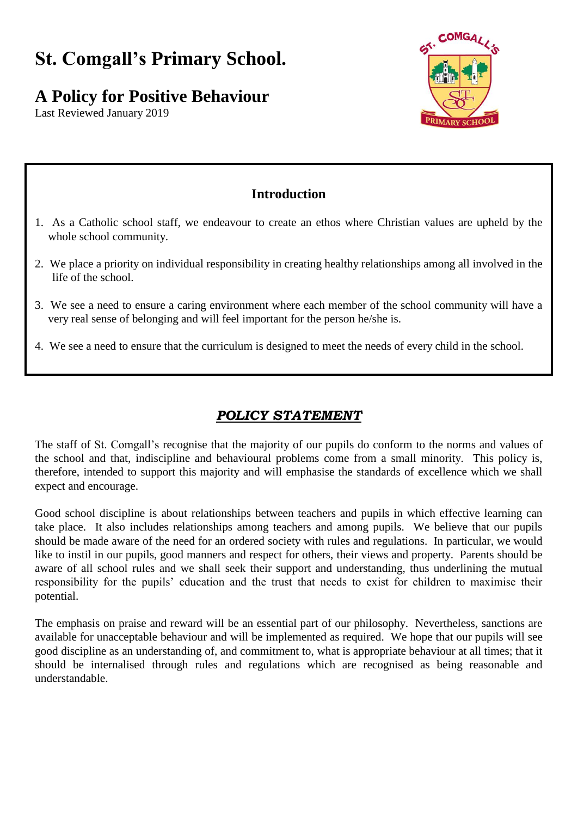# **St. Comgall's Primary School.**

# **A Policy for Positive Behaviour**

Last Reviewed January 2019



# **Introduction**

- 1. As a Catholic school staff, we endeavour to create an ethos where Christian values are upheld by the whole school community.
- 2. We place a priority on individual responsibility in creating healthy relationships among all involved in the life of the school.
- 3. We see a need to ensure a caring environment where each member of the school community will have a very real sense of belonging and will feel important for the person he/she is.
- 4. We see a need to ensure that the curriculum is designed to meet the needs of every child in the school.

# *POLICY STATEMENT*

The staff of St. Comgall's recognise that the majority of our pupils do conform to the norms and values of the school and that, indiscipline and behavioural problems come from a small minority. This policy is, therefore, intended to support this majority and will emphasise the standards of excellence which we shall expect and encourage.

Good school discipline is about relationships between teachers and pupils in which effective learning can take place. It also includes relationships among teachers and among pupils. We believe that our pupils should be made aware of the need for an ordered society with rules and regulations. In particular, we would like to instil in our pupils, good manners and respect for others, their views and property. Parents should be aware of all school rules and we shall seek their support and understanding, thus underlining the mutual responsibility for the pupils' education and the trust that needs to exist for children to maximise their potential.

The emphasis on praise and reward will be an essential part of our philosophy. Nevertheless, sanctions are available for unacceptable behaviour and will be implemented as required. We hope that our pupils will see good discipline as an understanding of, and commitment to, what is appropriate behaviour at all times; that it should be internalised through rules and regulations which are recognised as being reasonable and understandable.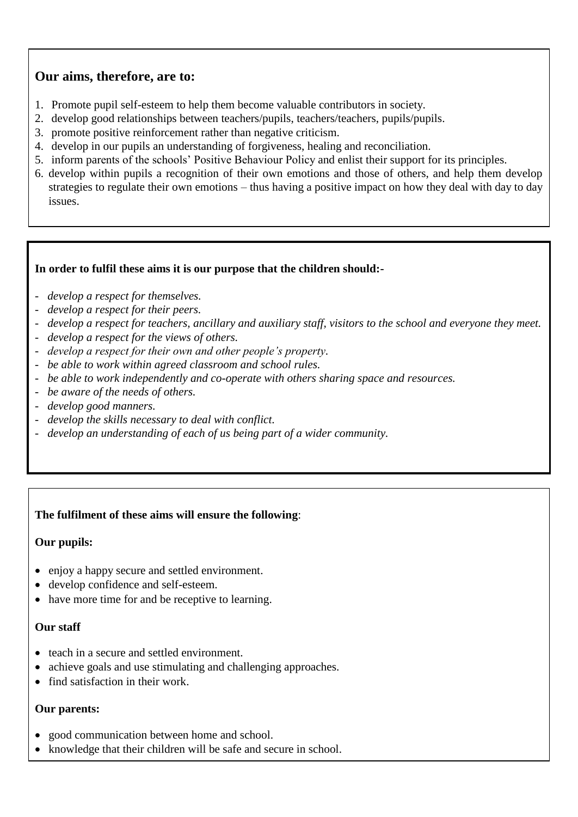# **Our aims, therefore, are to:**

- 1. Promote pupil self-esteem to help them become valuable contributors in society.
- 2. develop good relationships between teachers/pupils, teachers/teachers, pupils/pupils.
- 3. promote positive reinforcement rather than negative criticism.
- 4. develop in our pupils an understanding of forgiveness, healing and reconciliation.
- 5. inform parents of the schools' Positive Behaviour Policy and enlist their support for its principles.
- 6. develop within pupils a recognition of their own emotions and those of others, and help them develop strategies to regulate their own emotions – thus having a positive impact on how they deal with day to day issues.

## **In order to fulfil these aims it is our purpose that the children should:-**

- *develop a respect for themselves.*
- *develop a respect for their peers.*
- *develop a respect for teachers, ancillary and auxiliary staff, visitors to the school and everyone they meet.*
- *develop a respect for the views of others.*
- *develop a respect for their own and other people's property.*
- *be able to work within agreed classroom and school rules.*
- *be able to work independently and co-operate with others sharing space and resources.*
- *be aware of the needs of others.*
- *develop good manners.*
- *develop the skills necessary to deal with conflict.*
- *develop an understanding of each of us being part of a wider community.*

# **The fulfilment of these aims will ensure the following**:

#### **Our pupils:**

- enjoy a happy secure and settled environment.
- develop confidence and self-esteem.
- have more time for and be receptive to learning.

#### **Our staff**

- teach in a secure and settled environment.
- achieve goals and use stimulating and challenging approaches.
- find satisfaction in their work.

#### **Our parents:**

- good communication between home and school.
- knowledge that their children will be safe and secure in school.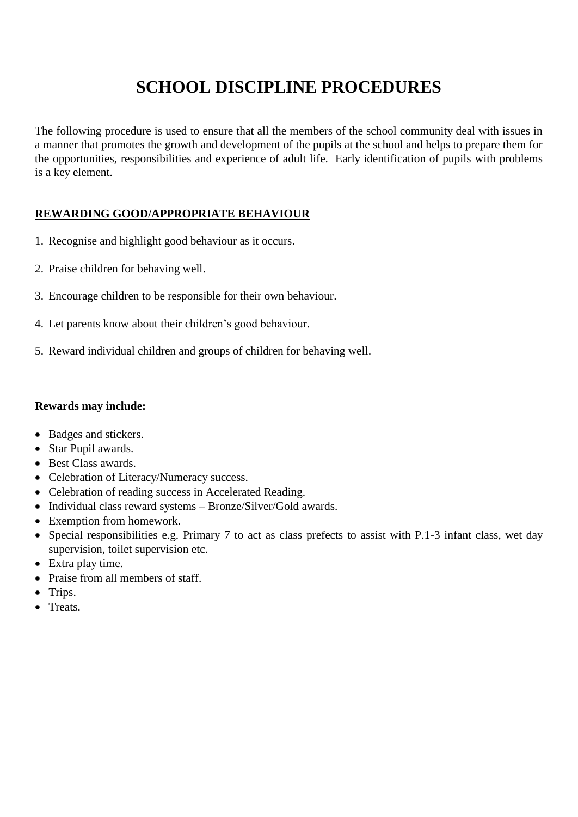# **SCHOOL DISCIPLINE PROCEDURES**

The following procedure is used to ensure that all the members of the school community deal with issues in a manner that promotes the growth and development of the pupils at the school and helps to prepare them for the opportunities, responsibilities and experience of adult life. Early identification of pupils with problems is a key element.

# **REWARDING GOOD/APPROPRIATE BEHAVIOUR**

- 1. Recognise and highlight good behaviour as it occurs.
- 2. Praise children for behaving well.
- 3. Encourage children to be responsible for their own behaviour.
- 4. Let parents know about their children's good behaviour.
- 5. Reward individual children and groups of children for behaving well.

#### **Rewards may include:**

- Badges and stickers.
- Star Pupil awards.
- Best Class awards.
- Celebration of Literacy/Numeracy success.
- Celebration of reading success in Accelerated Reading.
- Individual class reward systems Bronze/Silver/Gold awards.
- Exemption from homework.
- Special responsibilities e.g. Primary 7 to act as class prefects to assist with P.1-3 infant class, wet day supervision, toilet supervision etc.
- Extra play time.
- Praise from all members of staff.
- Trips.
- Treats.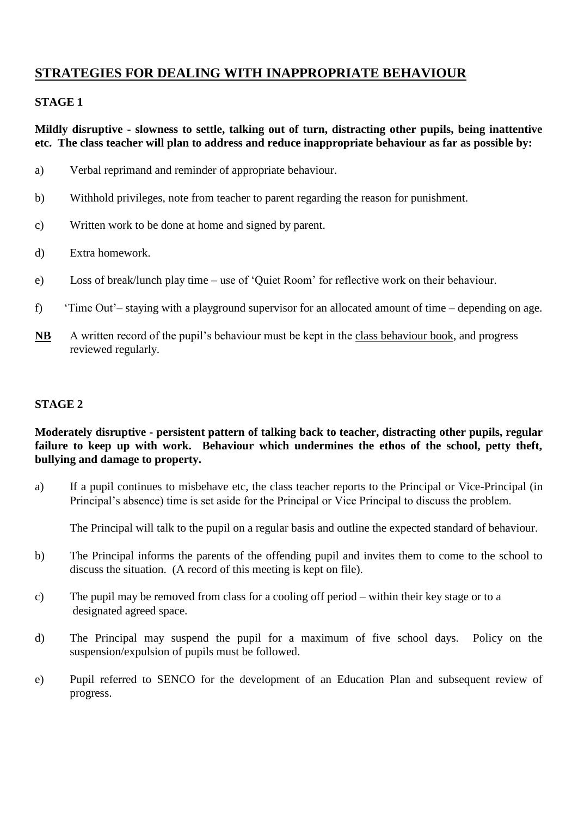# **STRATEGIES FOR DEALING WITH INAPPROPRIATE BEHAVIOUR**

#### **STAGE 1**

#### **Mildly disruptive - slowness to settle, talking out of turn, distracting other pupils, being inattentive etc. The class teacher will plan to address and reduce inappropriate behaviour as far as possible by:**

- a) Verbal reprimand and reminder of appropriate behaviour.
- b) Withhold privileges, note from teacher to parent regarding the reason for punishment.
- c) Written work to be done at home and signed by parent.
- d) Extra homework.
- e) Loss of break/lunch play time use of 'Quiet Room' for reflective work on their behaviour.
- f) 'Time Out'– staying with a playground supervisor for an allocated amount of time depending on age.
- **NB** A written record of the pupil's behaviour must be kept in the class behaviour book, and progress reviewed regularly.

#### **STAGE 2**

## **Moderately disruptive - persistent pattern of talking back to teacher, distracting other pupils, regular failure to keep up with work. Behaviour which undermines the ethos of the school, petty theft, bullying and damage to property.**

a) If a pupil continues to misbehave etc, the class teacher reports to the Principal or Vice-Principal (in Principal's absence) time is set aside for the Principal or Vice Principal to discuss the problem.

The Principal will talk to the pupil on a regular basis and outline the expected standard of behaviour.

- b) The Principal informs the parents of the offending pupil and invites them to come to the school to discuss the situation. (A record of this meeting is kept on file).
- c) The pupil may be removed from class for a cooling off period within their key stage or to a designated agreed space.
- d) The Principal may suspend the pupil for a maximum of five school days. Policy on the suspension/expulsion of pupils must be followed.
- e) Pupil referred to SENCO for the development of an Education Plan and subsequent review of progress.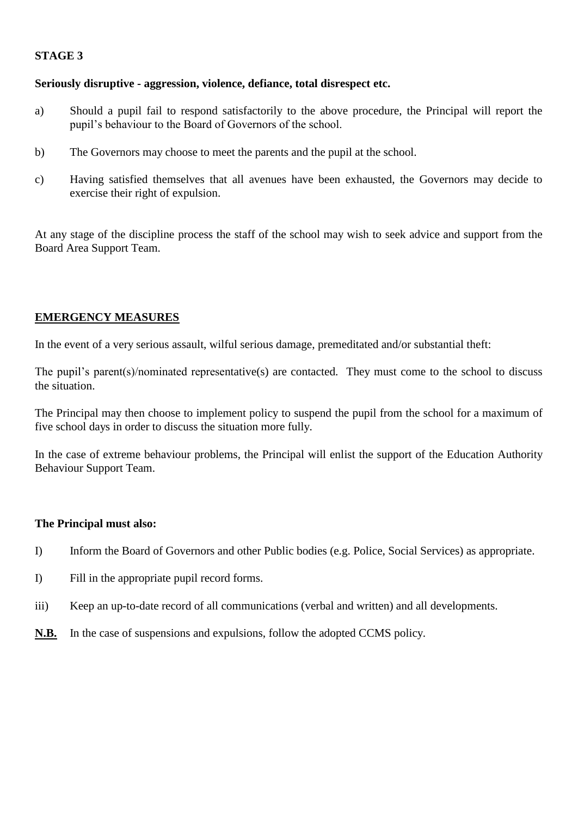#### **STAGE 3**

#### **Seriously disruptive - aggression, violence, defiance, total disrespect etc.**

- a) Should a pupil fail to respond satisfactorily to the above procedure, the Principal will report the pupil's behaviour to the Board of Governors of the school.
- b) The Governors may choose to meet the parents and the pupil at the school.
- c) Having satisfied themselves that all avenues have been exhausted, the Governors may decide to exercise their right of expulsion.

At any stage of the discipline process the staff of the school may wish to seek advice and support from the Board Area Support Team.

#### **EMERGENCY MEASURES**

In the event of a very serious assault, wilful serious damage, premeditated and/or substantial theft:

The pupil's parent(s)/nominated representative(s) are contacted. They must come to the school to discuss the situation.

The Principal may then choose to implement policy to suspend the pupil from the school for a maximum of five school days in order to discuss the situation more fully.

In the case of extreme behaviour problems, the Principal will enlist the support of the Education Authority Behaviour Support Team.

#### **The Principal must also:**

- I) Inform the Board of Governors and other Public bodies (e.g. Police, Social Services) as appropriate.
- I) Fill in the appropriate pupil record forms.
- iii) Keep an up-to-date record of all communications (verbal and written) and all developments.
- **N.B.** In the case of suspensions and expulsions, follow the adopted CCMS policy.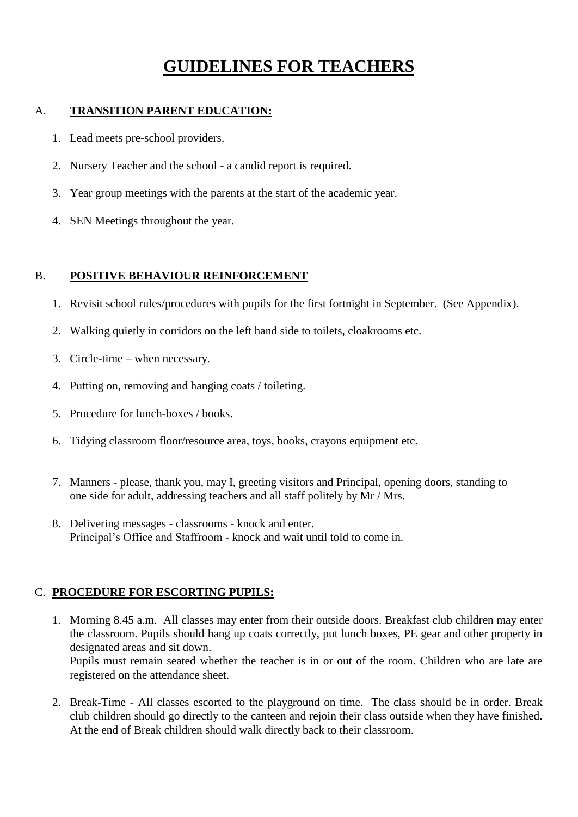# **GUIDELINES FOR TEACHERS**

# A. **TRANSITION PARENT EDUCATION:**

- 1. Lead meets pre-school providers.
- 2. Nursery Teacher and the school a candid report is required.
- 3. Year group meetings with the parents at the start of the academic year.
- 4. SEN Meetings throughout the year.

## B. **POSITIVE BEHAVIOUR REINFORCEMENT**

- 1. Revisit school rules/procedures with pupils for the first fortnight in September. (See Appendix).
- 2. Walking quietly in corridors on the left hand side to toilets, cloakrooms etc.
- 3. Circle-time when necessary.
- 4. Putting on, removing and hanging coats / toileting.
- 5. Procedure for lunch-boxes / books.
- 6. Tidying classroom floor/resource area, toys, books, crayons equipment etc.
- 7. Manners please, thank you, may I, greeting visitors and Principal, opening doors, standing to one side for adult, addressing teachers and all staff politely by Mr / Mrs.
- 8. Delivering messages classrooms knock and enter. Principal's Office and Staffroom - knock and wait until told to come in.

# C. **PROCEDURE FOR ESCORTING PUPILS:**

- 1. Morning 8.45 a.m. All classes may enter from their outside doors. Breakfast club children may enter the classroom. Pupils should hang up coats correctly, put lunch boxes, PE gear and other property in designated areas and sit down. Pupils must remain seated whether the teacher is in or out of the room. Children who are late are registered on the attendance sheet.
- 2. Break-Time All classes escorted to the playground on time. The class should be in order. Break club children should go directly to the canteen and rejoin their class outside when they have finished. At the end of Break children should walk directly back to their classroom.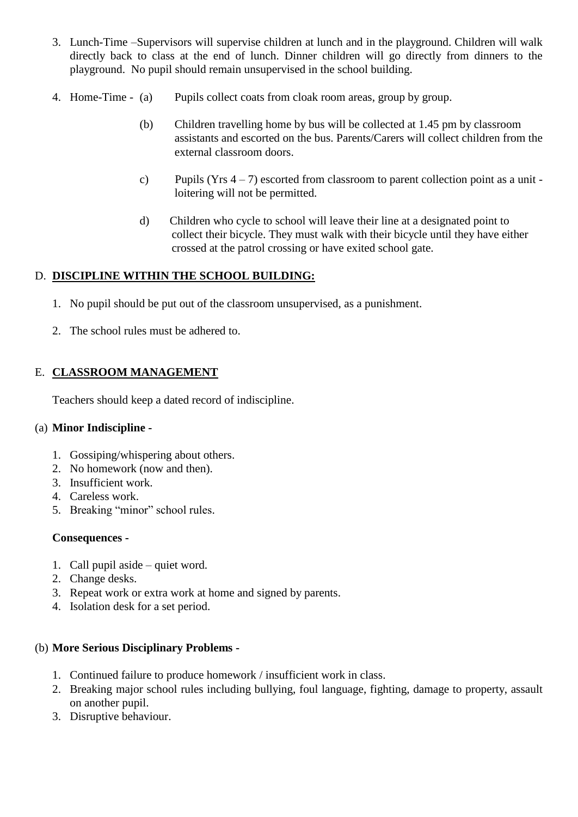- 3. Lunch-Time –Supervisors will supervise children at lunch and in the playground. Children will walk directly back to class at the end of lunch. Dinner children will go directly from dinners to the playground. No pupil should remain unsupervised in the school building.
- 4. Home-Time (a) Pupils collect coats from cloak room areas, group by group.
	- (b) Children travelling home by bus will be collected at 1.45 pm by classroom assistants and escorted on the bus. Parents/Carers will collect children from the external classroom doors.
	- c) Pupils (Yrs  $4 7$ ) escorted from classroom to parent collection point as a unit loitering will not be permitted.
	- d) Children who cycle to school will leave their line at a designated point to collect their bicycle. They must walk with their bicycle until they have either crossed at the patrol crossing or have exited school gate.

## D. **DISCIPLINE WITHIN THE SCHOOL BUILDING:**

- 1. No pupil should be put out of the classroom unsupervised, as a punishment.
- 2. The school rules must be adhered to.

# E. **CLASSROOM MANAGEMENT**

Teachers should keep a dated record of indiscipline.

#### (a) **Minor Indiscipline -**

- 1. Gossiping/whispering about others.
- 2. No homework (now and then).
- 3. Insufficient work.
- 4. Careless work.
- 5. Breaking "minor" school rules.

#### **Consequences -**

- 1. Call pupil aside quiet word.
- 2. Change desks.
- 3. Repeat work or extra work at home and signed by parents.
- 4. Isolation desk for a set period.

# (b) **More Serious Disciplinary Problems -**

- 1. Continued failure to produce homework / insufficient work in class.
- 2. Breaking major school rules including bullying, foul language, fighting, damage to property, assault on another pupil.
- 3. Disruptive behaviour.